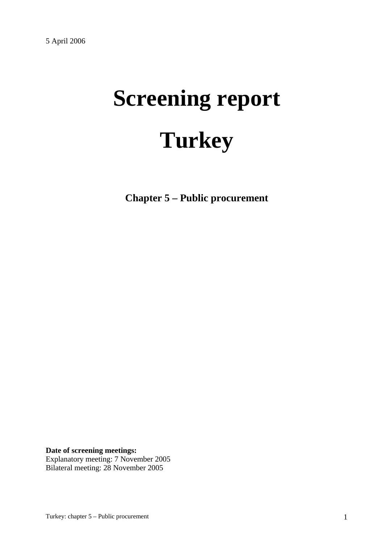# **Screening report Turkey**

**Chapter 5 – Public procurement** 

**Date of screening meetings:** Explanatory meeting: 7 November 2005 Bilateral meeting: 28 November 2005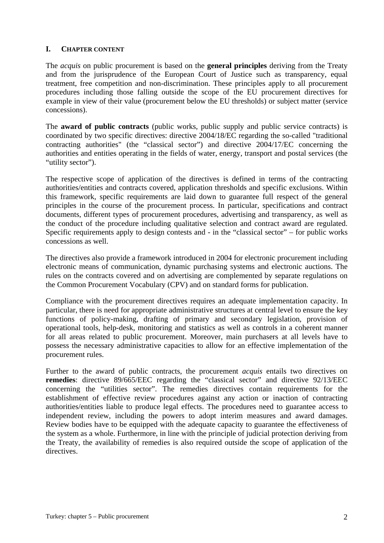## **I. CHAPTER CONTENT**

The *acquis* on public procurement is based on the **general principles** deriving from the Treaty and from the jurisprudence of the European Court of Justice such as transparency, equal treatment, free competition and non-discrimination. These principles apply to all procurement procedures including those falling outside the scope of the EU procurement directives for example in view of their value (procurement below the EU thresholds) or subject matter (service concessions).

The **award of public contracts** (public works, public supply and public service contracts) is coordinated by two specific directives: directive 2004/18/EC regarding the so-called "traditional contracting authorities" (the "classical sector") and directive 2004/17/EC concerning the authorities and entities operating in the fields of water, energy, transport and postal services (the "utility sector").

The respective scope of application of the directives is defined in terms of the contracting authorities/entities and contracts covered, application thresholds and specific exclusions. Within this framework, specific requirements are laid down to guarantee full respect of the general principles in the course of the procurement process. In particular, specifications and contract documents, different types of procurement procedures, advertising and transparency, as well as the conduct of the procedure including qualitative selection and contract award are regulated. Specific requirements apply to design contests and - in the "classical sector" – for public works concessions as well.

The directives also provide a framework introduced in 2004 for electronic procurement including electronic means of communication, dynamic purchasing systems and electronic auctions. The rules on the contracts covered and on advertising are complemented by separate regulations on the Common Procurement Vocabulary (CPV) and on standard forms for publication.

Compliance with the procurement directives requires an adequate implementation capacity. In particular, there is need for appropriate administrative structures at central level to ensure the key functions of policy-making, drafting of primary and secondary legislation, provision of operational tools, help-desk, monitoring and statistics as well as controls in a coherent manner for all areas related to public procurement. Moreover, main purchasers at all levels have to possess the necessary administrative capacities to allow for an effective implementation of the procurement rules.

Further to the award of public contracts, the procurement *acquis* entails two directives on **remedies**: directive 89/665/EEC regarding the "classical sector" and directive 92/13/EEC concerning the "utilities sector". The remedies directives contain requirements for the establishment of effective review procedures against any action or inaction of contracting authorities/entities liable to produce legal effects. The procedures need to guarantee access to independent review, including the powers to adopt interim measures and award damages. Review bodies have to be equipped with the adequate capacity to guarantee the effectiveness of the system as a whole. Furthermore, in line with the principle of judicial protection deriving from the Treaty, the availability of remedies is also required outside the scope of application of the directives.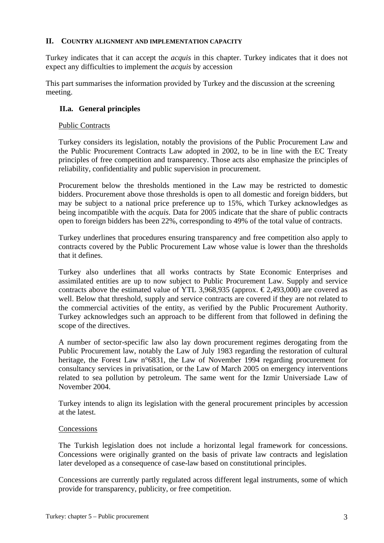#### **II. COUNTRY ALIGNMENT AND IMPLEMENTATION CAPACITY**

Turkey indicates that it can accept the *acquis* in this chapter. Turkey indicates that it does not expect any difficulties to implement the *acquis* by accession

This part summarises the information provided by Turkey and the discussion at the screening meeting.

# **II.a. General principles**

## Public Contracts

Turkey considers its legislation, notably the provisions of the Public Procurement Law and the Public Procurement Contracts Law adopted in 2002, to be in line with the EC Treaty principles of free competition and transparency. Those acts also emphasize the principles of reliability, confidentiality and public supervision in procurement.

Procurement below the thresholds mentioned in the Law may be restricted to domestic bidders. Procurement above those thresholds is open to all domestic and foreign bidders, but may be subject to a national price preference up to 15%, which Turkey acknowledges as being incompatible with the *acquis*. Data for 2005 indicate that the share of public contracts open to foreign bidders has been 22%, corresponding to 49% of the total value of contracts.

Turkey underlines that procedures ensuring transparency and free competition also apply to contracts covered by the Public Procurement Law whose value is lower than the thresholds that it defines.

Turkey also underlines that all works contracts by State Economic Enterprises and assimilated entities are up to now subject to Public Procurement Law. Supply and service contracts above the estimated value of YTL 3,968,935 (approx.  $\epsilon$ 2,493,000) are covered as well. Below that threshold, supply and service contracts are covered if they are not related to the commercial activities of the entity, as verified by the Public Procurement Authority. Turkey acknowledges such an approach to be different from that followed in defining the scope of the directives.

A number of sector-specific law also lay down procurement regimes derogating from the Public Procurement law, notably the Law of July 1983 regarding the restoration of cultural heritage, the Forest Law n°6831, the Law of November 1994 regarding procurement for consultancy services in privatisation, or the Law of March 2005 on emergency interventions related to sea pollution by petroleum. The same went for the Izmir Universiade Law of November 2004.

Turkey intends to align its legislation with the general procurement principles by accession at the latest.

# **Concessions**

The Turkish legislation does not include a horizontal legal framework for concessions. Concessions were originally granted on the basis of private law contracts and legislation later developed as a consequence of case-law based on constitutional principles.

Concessions are currently partly regulated across different legal instruments, some of which provide for transparency, publicity, or free competition.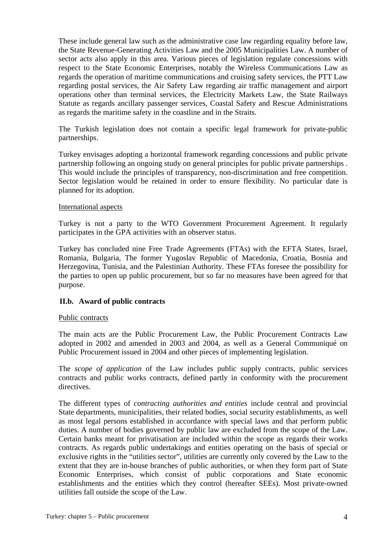These include general law such as the administrative case law regarding equality before law, the State Revenue-Generating Activities Law and the 2005 Municipalities Law. A number of sector acts also apply in this area. Various pieces of legislation regulate concessions with respect to the State Economic Enterprises, notably the Wireless Communications Law as regards the operation of maritime communications and cruising safety services, the PTT Law regarding postal services, the Air Safety Law regarding air traffic management and airport operations other than terminal services, the Electricity Markets Law, the State Railways Statute as regards ancillary passenger services, Coastal Safety and Rescue Administrations as regards the maritime safety in the coastline and in the Straits.

The Turkish legislation does not contain a specific legal framework for private-public partnerships.

Turkey envisages adopting a horizontal framework regarding concessions and public private partnership following an ongoing study on general principles for public private partnerships . This would include the principles of transparency, non-discrimination and free competition. Sector legislation would be retained in order to ensure flexibility. No particular date is planned for its adoption.

#### International aspects

Turkey is not a party to the WTO Government Procurement Agreement. It regularly participates in the GPA activities with an observer status.

Turkey has concluded nine Free Trade Agreements (FTAs) with the EFTA States, Israel, Romania, Bulgaria, The former Yugoslav Republic of Macedonia, Croatia, Bosnia and Herzegovina, Tunisia, and the Palestinian Authority. These FTAs foresee the possibility for the parties to open up public procurement, but so far no measures have been agreed for that purpose.

#### **II.b. Award of public contracts**

#### Public contracts

The main acts are the Public Procurement Law, the Public Procurement Contracts Law adopted in 2002 and amended in 2003 and 2004, as well as a General Communiqué on Public Procurement issued in 2004 and other pieces of implementing legislation.

The *scope of application* of the Law includes public supply contracts, public services contracts and public works contracts, defined partly in conformity with the procurement directives.

The different types of *contracting authorities and entities* include central and provincial State departments, municipalities, their related bodies, social security establishments, as well as most legal persons established in accordance with special laws and that perform public duties. A number of bodies governed by public law are excluded from the scope of the Law. Certain banks meant for privatisation are included within the scope as regards their works contracts. As regards public undertakings and entities operating on the basis of special or exclusive rights in the "utilities sector", utilities are currently only covered by the Law to the extent that they are in-house branches of public authorities, or when they form part of State Economic Enterprises, which consist of public corporations and State economic establishments and the entities which they control (hereafter SEEs). Most private-owned utilities fall outside the scope of the Law.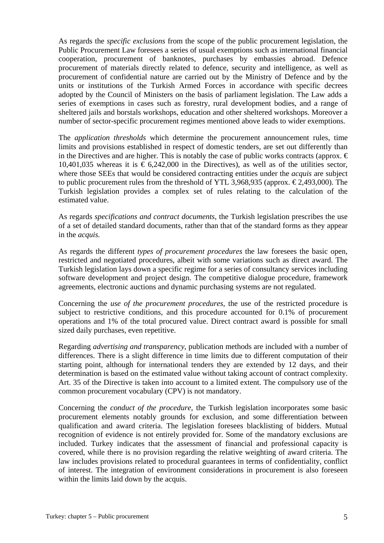As regards the *specific exclusions* from the scope of the public procurement legislation, the Public Procurement Law foresees a series of usual exemptions such as international financial cooperation, procurement of banknotes, purchases by embassies abroad. Defence procurement of materials directly related to defence, security and intelligence, as well as procurement of confidential nature are carried out by the Ministry of Defence and by the units or institutions of the Turkish Armed Forces in accordance with specific decrees adopted by the Council of Ministers on the basis of parliament legislation. The Law adds a series of exemptions in cases such as forestry, rural development bodies, and a range of sheltered jails and borstals workshops, education and other sheltered workshops. Moreover a number of sector-specific procurement regimes mentioned above leads to wider exemptions.

The *application thresholds* which determine the procurement announcement rules, time limits and provisions established in respect of domestic tenders, are set out differently than in the Directives and are higher. This is notably the case of public works contracts (approx.  $\epsilon$ ) 10,401,035 whereas it is  $\epsilon$  6,242,000 in the Directives), as well as of the utilities sector, where those SEEs that would be considered contracting entities under the *acquis* are subject to public procurement rules from the threshold of YTL 3,968,935 (approx.  $\epsilon$ 2,493,000). The Turkish legislation provides a complex set of rules relating to the calculation of the estimated value.

As regards *specifications and contract documents*, the Turkish legislation prescribes the use of a set of detailed standard documents, rather than that of the standard forms as they appear in the *acquis.*

As regards the different *types of procurement procedures* the law foresees the basic open, restricted and negotiated procedures, albeit with some variations such as direct award. The Turkish legislation lays down a specific regime for a series of consultancy services including software development and project design. The competitive dialogue procedure, framework agreements, electronic auctions and dynamic purchasing systems are not regulated.

Concerning the *use of the procurement procedures*, the use of the restricted procedure is subject to restrictive conditions, and this procedure accounted for 0.1% of procurement operations and 1% of the total procured value. Direct contract award is possible for small sized daily purchases, even repetitive.

Regarding *advertising and transparency*, publication methods are included with a number of differences. There is a slight difference in time limits due to different computation of their starting point, although for international tenders they are extended by 12 days, and their determination is based on the estimated value without taking account of contract complexity. Art. 35 of the Directive is taken into account to a limited extent. The compulsory use of the common procurement vocabulary (CPV) is not mandatory.

Concerning the *conduct of the procedure*, the Turkish legislation incorporates some basic procurement elements notably grounds for exclusion, and some differentiation between qualification and award criteria. The legislation foresees blacklisting of bidders. Mutual recognition of evidence is not entirely provided for. Some of the mandatory exclusions are included. Turkey indicates that the assessment of financial and professional capacity is covered, while there is no provision regarding the relative weighting of award criteria. The law includes provisions related to procedural guarantees in terms of confidentiality, conflict of interest. The integration of environment considerations in procurement is also foreseen within the limits laid down by the acquis.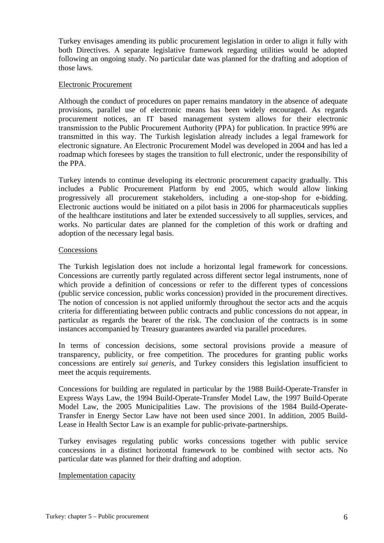Turkey envisages amending its public procurement legislation in order to align it fully with both Directives. A separate legislative framework regarding utilities would be adopted following an ongoing study. No particular date was planned for the drafting and adoption of those laws.

#### Electronic Procurement

Although the conduct of procedures on paper remains mandatory in the absence of adequate provisions, parallel use of electronic means has been widely encouraged. As regards procurement notices, an IT based management system allows for their electronic transmission to the Public Procurement Authority (PPA) for publication. In practice 99% are transmitted in this way. The Turkish legislation already includes a legal framework for electronic signature. An Electronic Procurement Model was developed in 2004 and has led a roadmap which foresees by stages the transition to full electronic, under the responsibility of the PPA.

Turkey intends to continue developing its electronic procurement capacity gradually. This includes a Public Procurement Platform by end 2005, which would allow linking progressively all procurement stakeholders, including a one-stop-shop for e-bidding. Electronic auctions would be initiated on a pilot basis in 2006 for pharmaceuticals supplies of the healthcare institutions and later be extended successively to all supplies, services, and works. No particular dates are planned for the completion of this work or drafting and adoption of the necessary legal basis.

## Concessions

The Turkish legislation does not include a horizontal legal framework for concessions. Concessions are currently partly regulated across different sector legal instruments, none of which provide a definition of concessions or refer to the different types of concessions (public service concession, public works concession) provided in the procurement directives. The notion of concession is not applied uniformly throughout the sector acts and the acquis criteria for differentiating between public contracts and public concessions do not appear, in particular as regards the bearer of the risk. The conclusion of the contracts is in some instances accompanied by Treasury guarantees awarded via parallel procedures.

In terms of concession decisions, some sectoral provisions provide a measure of transparency, publicity, or free competition. The procedures for granting public works concessions are entirely *sui generis*, and Turkey considers this legislation insufficient to meet the acquis requirements.

Concessions for building are regulated in particular by the 1988 Build-Operate-Transfer in Express Ways Law, the 1994 Build-Operate-Transfer Model Law, the 1997 Build-Operate Model Law, the 2005 Municipalities Law. The provisions of the 1984 Build-Operate-Transfer in Energy Sector Law have not been used since 2001. In addition, 2005 Build-Lease in Health Sector Law is an example for public-private-partnerships.

Turkey envisages regulating public works concessions together with public service concessions in a distinct horizontal framework to be combined with sector acts. No particular date was planned for their drafting and adoption.

#### Implementation capacity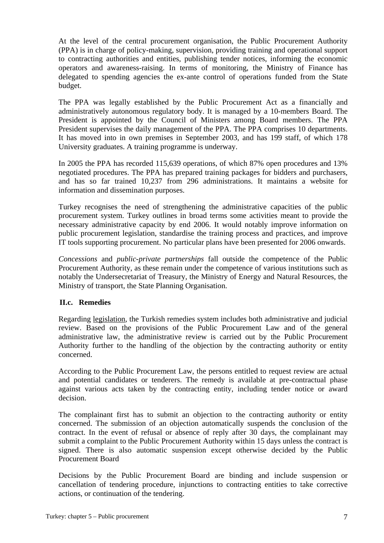At the level of the central procurement organisation, the Public Procurement Authority (PPA) is in charge of policy-making, supervision, providing training and operational support to contracting authorities and entities, publishing tender notices, informing the economic operators and awareness-raising. In terms of monitoring, the Ministry of Finance has delegated to spending agencies the ex-ante control of operations funded from the State budget.

The PPA was legally established by the Public Procurement Act as a financially and administratively autonomous regulatory body. It is managed by a 10-members Board. The President is appointed by the Council of Ministers among Board members. The PPA President supervises the daily management of the PPA. The PPA comprises 10 departments. It has moved into in own premises in September 2003, and has 199 staff, of which 178 University graduates. A training programme is underway.

In 2005 the PPA has recorded 115,639 operations, of which 87% open procedures and 13% negotiated procedures. The PPA has prepared training packages for bidders and purchasers, and has so far trained 10,237 from 296 administrations. It maintains a website for information and dissemination purposes.

Turkey recognises the need of strengthening the administrative capacities of the public procurement system. Turkey outlines in broad terms some activities meant to provide the necessary administrative capacity by end 2006. It would notably improve information on public procurement legislation, standardise the training process and practices, and improve IT tools supporting procurement. No particular plans have been presented for 2006 onwards.

*Concessions* and *public-private partnerships* fall outside the competence of the Public Procurement Authority, as these remain under the competence of various institutions such as notably the Undersecretariat of Treasury, the Ministry of Energy and Natural Resources, the Ministry of transport, the State Planning Organisation.

# **II.c. Remedies**

Regarding legislation, the Turkish remedies system includes both administrative and judicial review. Based on the provisions of the Public Procurement Law and of the general administrative law, the administrative review is carried out by the Public Procurement Authority further to the handling of the objection by the contracting authority or entity concerned.

According to the Public Procurement Law, the persons entitled to request review are actual and potential candidates or tenderers. The remedy is available at pre-contractual phase against various acts taken by the contracting entity, including tender notice or award decision.

The complainant first has to submit an objection to the contracting authority or entity concerned. The submission of an objection automatically suspends the conclusion of the contract. In the event of refusal or absence of reply after 30 days, the complainant may submit a complaint to the Public Procurement Authority within 15 days unless the contract is signed. There is also automatic suspension except otherwise decided by the Public Procurement Board

Decisions by the Public Procurement Board are binding and include suspension or cancellation of tendering procedure, injunctions to contracting entities to take corrective actions, or continuation of the tendering.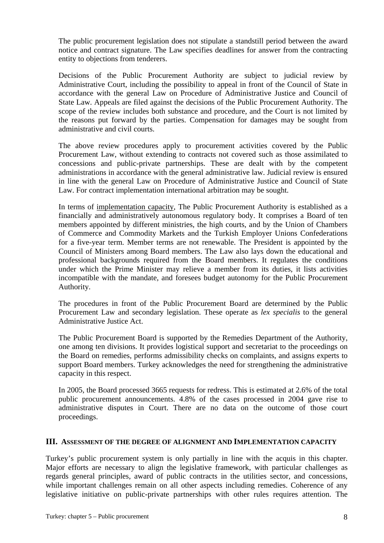The public procurement legislation does not stipulate a standstill period between the award notice and contract signature. The Law specifies deadlines for answer from the contracting entity to objections from tenderers.

Decisions of the Public Procurement Authority are subject to judicial review by Administrative Court, including the possibility to appeal in front of the Council of State in accordance with the general Law on Procedure of Administrative Justice and Council of State Law. Appeals are filed against the decisions of the Public Procurement Authority. The scope of the review includes both substance and procedure, and the Court is not limited by the reasons put forward by the parties. Compensation for damages may be sought from administrative and civil courts.

The above review procedures apply to procurement activities covered by the Public Procurement Law, without extending to contracts not covered such as those assimilated to concessions and public-private partnerships. These are dealt with by the competent administrations in accordance with the general administrative law. Judicial review is ensured in line with the general Law on Procedure of Administrative Justice and Council of State Law. For contract implementation international arbitration may be sought.

In terms of implementation capacity, The Public Procurement Authority is established as a financially and administratively autonomous regulatory body. It comprises a Board of ten members appointed by different ministries, the high courts, and by the Union of Chambers of Commerce and Commodity Markets and the Turkish Employer Unions Confederations for a five-year term. Member terms are not renewable. The President is appointed by the Council of Ministers among Board members. The Law also lays down the educational and professional backgrounds required from the Board members. It regulates the conditions under which the Prime Minister may relieve a member from its duties, it lists activities incompatible with the mandate, and foresees budget autonomy for the Public Procurement Authority.

The procedures in front of the Public Procurement Board are determined by the Public Procurement Law and secondary legislation. These operate as *lex specialis* to the general Administrative Justice Act.

The Public Procurement Board is supported by the Remedies Department of the Authority, one among ten divisions. It provides logistical support and secretariat to the proceedings on the Board on remedies, performs admissibility checks on complaints, and assigns experts to support Board members. Turkey acknowledges the need for strengthening the administrative capacity in this respect.

In 2005, the Board processed 3665 requests for redress. This is estimated at 2.6% of the total public procurement announcements. 4.8% of the cases processed in 2004 gave rise to administrative disputes in Court. There are no data on the outcome of those court proceedings.

#### **III. ASSESSMENT OF THE DEGREE OF ALIGNMENT AND IMPLEMENTATION CAPACITY**

Turkey's public procurement system is only partially in line with the acquis in this chapter. Major efforts are necessary to align the legislative framework, with particular challenges as regards general principles, award of public contracts in the utilities sector, and concessions, while important challenges remain on all other aspects including remedies. Coherence of any legislative initiative on public-private partnerships with other rules requires attention. The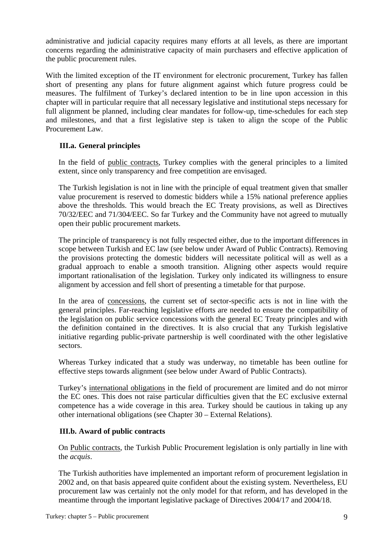administrative and judicial capacity requires many efforts at all levels, as there are important concerns regarding the administrative capacity of main purchasers and effective application of the public procurement rules.

With the limited exception of the IT environment for electronic procurement, Turkey has fallen short of presenting any plans for future alignment against which future progress could be measures. The fulfilment of Turkey's declared intention to be in line upon accession in this chapter will in particular require that all necessary legislative and institutional steps necessary for full alignment be planned, including clear mandates for follow-up, time-schedules for each step and milestones, and that a first legislative step is taken to align the scope of the Public Procurement Law.

# **III.a. General principles**

In the field of public contracts, Turkey complies with the general principles to a limited extent, since only transparency and free competition are envisaged.

The Turkish legislation is not in line with the principle of equal treatment given that smaller value procurement is reserved to domestic bidders while a 15% national preference applies above the thresholds. This would breach the EC Treaty provisions, as well as Directives 70/32/EEC and 71/304/EEC. So far Turkey and the Community have not agreed to mutually open their public procurement markets.

The principle of transparency is not fully respected either, due to the important differences in scope between Turkish and EC law (see below under Award of Public Contracts). Removing the provisions protecting the domestic bidders will necessitate political will as well as a gradual approach to enable a smooth transition. Aligning other aspects would require important rationalisation of the legislation. Turkey only indicated its willingness to ensure alignment by accession and fell short of presenting a timetable for that purpose.

In the area of concessions, the current set of sector-specific acts is not in line with the general principles. Far-reaching legislative efforts are needed to ensure the compatibility of the legislation on public service concessions with the general EC Treaty principles and with the definition contained in the directives. It is also crucial that any Turkish legislative initiative regarding public-private partnership is well coordinated with the other legislative sectors.

Whereas Turkey indicated that a study was underway, no timetable has been outline for effective steps towards alignment (see below under Award of Public Contracts).

Turkey's international obligations in the field of procurement are limited and do not mirror the EC ones. This does not raise particular difficulties given that the EC exclusive external competence has a wide coverage in this area. Turkey should be cautious in taking up any other international obligations (see Chapter 30 – External Relations).

# **III.b. Award of public contracts**

On Public contracts, the Turkish Public Procurement legislation is only partially in line with the *acquis*.

The Turkish authorities have implemented an important reform of procurement legislation in 2002 and, on that basis appeared quite confident about the existing system. Nevertheless, EU procurement law was certainly not the only model for that reform, and has developed in the meantime through the important legislative package of Directives 2004/17 and 2004/18.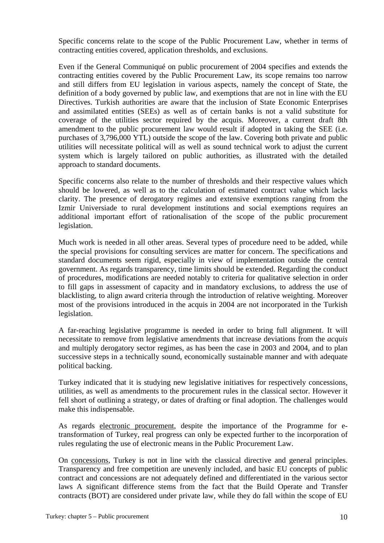Specific concerns relate to the scope of the Public Procurement Law, whether in terms of contracting entities covered, application thresholds, and exclusions.

Even if the General Communiqué on public procurement of 2004 specifies and extends the contracting entities covered by the Public Procurement Law, its scope remains too narrow and still differs from EU legislation in various aspects, namely the concept of State, the definition of a body governed by public law, and exemptions that are not in line with the EU Directives. Turkish authorities are aware that the inclusion of State Economic Enterprises and assimilated entities (SEEs) as well as of certain banks is not a valid substitute for coverage of the utilities sector required by the acquis. Moreover, a current draft 8th amendment to the public procurement law would result if adopted in taking the SEE (i.e. purchases of 3,796,000 YTL) outside the scope of the law. Covering both private and public utilities will necessitate political will as well as sound technical work to adjust the current system which is largely tailored on public authorities, as illustrated with the detailed approach to standard documents.

Specific concerns also relate to the number of thresholds and their respective values which should be lowered, as well as to the calculation of estimated contract value which lacks clarity. The presence of derogatory regimes and extensive exemptions ranging from the Izmir Universiade to rural development institutions and social exemptions requires an additional important effort of rationalisation of the scope of the public procurement legislation.

Much work is needed in all other areas. Several types of procedure need to be added, while the special provisions for consulting services are matter for concern. The specifications and standard documents seem rigid, especially in view of implementation outside the central government. As regards transparency, time limits should be extended. Regarding the conduct of procedures, modifications are needed notably to criteria for qualitative selection in order to fill gaps in assessment of capacity and in mandatory exclusions, to address the use of blacklisting, to align award criteria through the introduction of relative weighting. Moreover most of the provisions introduced in the acquis in 2004 are not incorporated in the Turkish legislation.

A far-reaching legislative programme is needed in order to bring full alignment. It will necessitate to remove from legislative amendments that increase deviations from the *acquis*  and multiply derogatory sector regimes, as has been the case in 2003 and 2004, and to plan successive steps in a technically sound, economically sustainable manner and with adequate political backing.

Turkey indicated that it is studying new legislative initiatives for respectively concessions, utilities, as well as amendments to the procurement rules in the classical sector. However it fell short of outlining a strategy, or dates of drafting or final adoption. The challenges would make this indispensable.

As regards electronic procurement, despite the importance of the Programme for etransformation of Turkey, real progress can only be expected further to the incorporation of rules regulating the use of electronic means in the Public Procurement Law.

On concessions, Turkey is not in line with the classical directive and general principles. Transparency and free competition are unevenly included, and basic EU concepts of public contract and concessions are not adequately defined and differentiated in the various sector laws A significant difference stems from the fact that the Build Operate and Transfer contracts (BOT) are considered under private law, while they do fall within the scope of EU